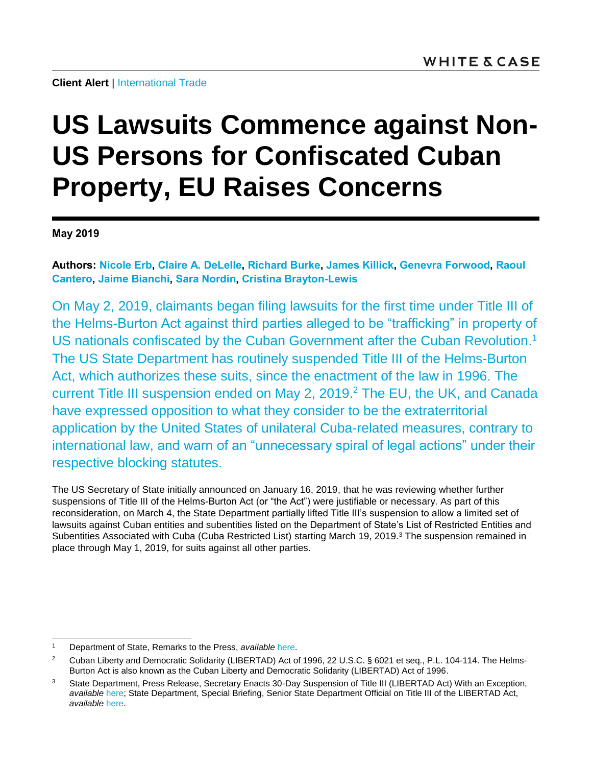# **US Lawsuits Commence against Non-US Persons for Confiscated Cuban Property, EU Raises Concerns**

**May 2019**

**Authors: [Nicole Erb,](https://www.whitecase.com/people/nicole-erb) [Claire A. DeLelle,](https://www.whitecase.com/people/claire-delelle) [Richard Burke,](https://www.whitecase.com/people/richard-burke) [James Killick,](https://www.whitecase.com/people/james-killick) [Genevra Forwood,](https://www.whitecase.com/people/genevra-forwood) [Raoul](https://www.whitecase.com/people/raoul-cantero)  [Cantero,](https://www.whitecase.com/people/raoul-cantero) [Jaime Bianchi,](https://www.whitecase.com/people/jaime-bianchi) [Sara Nordin,](https://www.whitecase.com/people/sara-nordin) [Cristina Brayton-Lewis](https://www.whitecase.com/people/cristina-brayton-lewis)**

On May 2, 2019, claimants began filing lawsuits for the first time under Title III of the Helms-Burton Act against third parties alleged to be "trafficking" in property of US nationals confiscated by the Cuban Government after the Cuban Revolution.<sup>1</sup> The US State Department has routinely suspended Title III of the Helms-Burton Act, which authorizes these suits, since the enactment of the law in 1996. The current Title III suspension ended on May 2, 2019. <sup>2</sup> The EU, the UK, and Canada have expressed opposition to what they consider to be the extraterritorial application by the United States of unilateral Cuba-related measures, contrary to international law, and warn of an "unnecessary spiral of legal actions" under their respective blocking statutes.

The US Secretary of State initially announced on January 16, 2019, that he was reviewing whether further suspensions of Title III of the Helms-Burton Act (or "the Act") were justifiable or necessary. As part of this reconsideration, on March 4, the State Department partially lifted Title III's suspension to allow a limited set of lawsuits against Cuban entities and subentities listed on the Department of State's List of Restricted Entities and Subentities Associated with Cuba (Cuba Restricted List) starting March 19, 2019.<sup>3</sup> The suspension remained in place through May 1, 2019, for suits against all other parties.

 $\overline{a}$ <sup>1</sup> Department of State, Remarks to the Press, *available* [here.](https://www.state.gov/secretary/remarks/2019/04/291174.htm)

<sup>&</sup>lt;sup>2</sup> Cuban Liberty and Democratic Solidarity (LIBERTAD) Act of 1996, 22 U.S.C. § 6021 et seq., P.L. 104-114. The Helms-Burton Act is also known as the Cuban Liberty and Democratic Solidarity (LIBERTAD) Act of 1996.

<sup>&</sup>lt;sup>3</sup> State Department, Press Release, Secretary Enacts 30-Day Suspension of Title III (LIBERTAD Act) With an Exception, *available* [here;](https://www.state.gov/r/pa/prs/ps/2019/03/289864.htm) State Department, Special Briefing, Senior State Department Official on Title III of the LIBERTAD Act, *available* [here.](https://www.state.gov/r/pa/prs/ps/2019/03/289871.htm)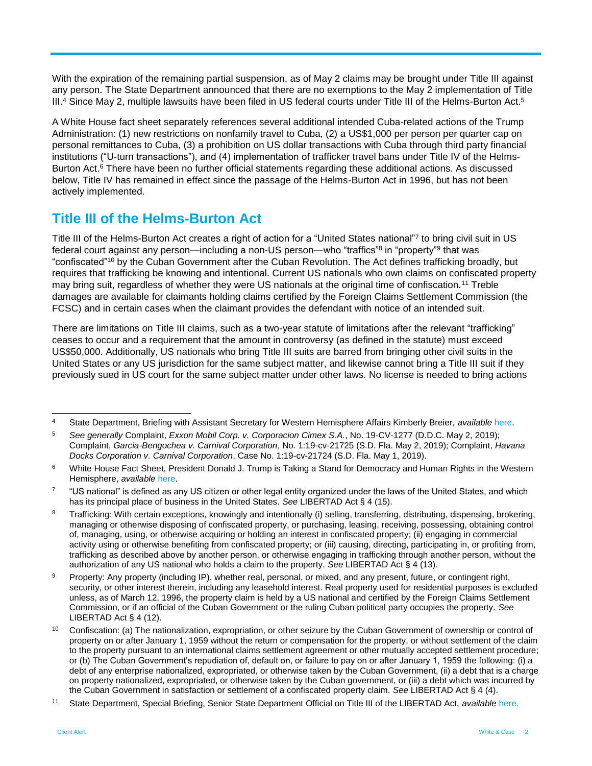With the expiration of the remaining partial suspension, as of May 2 claims may be brought under Title III against any person. The State Department announced that there are no exemptions to the May 2 implementation of Title III.<sup>4</sup> Since May 2, multiple lawsuits have been filed in US federal courts under Title III of the Helms-Burton Act.<sup>5</sup>

A White House fact sheet separately references several additional intended Cuba-related actions of the Trump Administration: (1) new restrictions on nonfamily travel to Cuba, (2) a US\$1,000 per person per quarter cap on personal remittances to Cuba, (3) a prohibition on US dollar transactions with Cuba through third party financial institutions ("U-turn transactions"), and (4) implementation of trafficker travel bans under Title IV of the Helms-Burton Act.<sup>6</sup> There have been no further official statements regarding these additional actions. As discussed below, Title IV has remained in effect since the passage of the Helms-Burton Act in 1996, but has not been actively implemented.

### **Title III of the Helms-Burton Act**

Title III of the Helms-Burton Act creates a right of action for a "United States national"<sup>7</sup> to bring civil suit in US federal court against any person—including a non-US person—who "traffics"<sup>8</sup> in "property"<sup>9</sup> that was "confiscated"<sup>10</sup> by the Cuban Government after the Cuban Revolution. The Act defines trafficking broadly, but requires that trafficking be knowing and intentional. Current US nationals who own claims on confiscated property may bring suit, regardless of whether they were US nationals at the original time of confiscation.<sup>11</sup> Treble damages are available for claimants holding claims certified by the Foreign Claims Settlement Commission (the FCSC) and in certain cases when the claimant provides the defendant with notice of an intended suit.

There are limitations on Title III claims, such as a two-year statute of limitations after the relevant "trafficking" ceases to occur and a requirement that the amount in controversy (as defined in the statute) must exceed US\$50,000. Additionally, US nationals who bring Title III suits are barred from bringing other civil suits in the United States or any US jurisdiction for the same subject matter, and likewise cannot bring a Title III suit if they previously sued in US court for the same subject matter under other laws. No license is needed to bring actions

 $\overline{4}$ <sup>4</sup> State Department, Briefing with Assistant Secretary for Western Hemisphere Affairs Kimberly Breier, *available* [here.](https://www.state.gov/r/pa/prs/ps/2019/04/291176.htm)

<sup>5</sup> *See generally* Complaint, *Exxon Mobil Corp. v. Corporacion Cimex S.A.*, No. 19-CV-1277 (D.D.C. May 2, 2019); Complaint, *Garcia-Bengochea v. Carnival Corporation*, No. 1:19-cv-21725 (S.D. Fla. May 2, 2019); Complaint, *Havana Docks Corporation v. Carnival Corporation*, Case No. 1:19-cv-21724 (S.D. Fla. May 1, 2019).

<sup>&</sup>lt;sup>6</sup> White House Fact Sheet, President Donald J. Trump is Taking a Stand for Democracy and Human Rights in the Western Hemisphere, *available* [here.](https://www.whitehouse.gov/briefings-statements/president-donald-j-trump-taking-stand-democracy-human-rights-western-hemisphere/)

<sup>7</sup> "US national" is defined as any US citizen or other legal entity organized under the laws of the United States, and which has its principal place of business in the United States. *See* LIBERTAD Act § 4 (15).

<sup>&</sup>lt;sup>8</sup> Trafficking: With certain exceptions, knowingly and intentionally (i) selling, transferring, distributing, dispensing, brokering, managing or otherwise disposing of confiscated property, or purchasing, leasing, receiving, possessing, obtaining control of, managing, using, or otherwise acquiring or holding an interest in confiscated property; (ii) engaging in commercial activity using or otherwise benefiting from confiscated property; or (iii) causing, directing, participating in, or profiting from, trafficking as described above by another person, or otherwise engaging in trafficking through another person, without the authorization of any US national who holds a claim to the property. *See* LIBERTAD Act § 4 (13).

<sup>9</sup> Property: Any property (including IP), whether real, personal, or mixed, and any present, future, or contingent right. security, or other interest therein, including any leasehold interest. Real property used for residential purposes is excluded unless, as of March 12, 1996, the property claim is held by a US national and certified by the Foreign Claims Settlement Commission, or if an official of the Cuban Government or the ruling Cuban political party occupies the property. *See* LIBERTAD Act § 4 (12).

<sup>&</sup>lt;sup>10</sup> Confiscation: (a) The nationalization, expropriation, or other seizure by the Cuban Government of ownership or control of property on or after January 1, 1959 without the return or compensation for the property, or without settlement of the claim to the property pursuant to an international claims settlement agreement or other mutually accepted settlement procedure; or (b) The Cuban Government's repudiation of, default on, or failure to pay on or after January 1, 1959 the following: (i) a debt of any enterprise nationalized, expropriated, or otherwise taken by the Cuban Government, (ii) a debt that is a charge on property nationalized, expropriated, or otherwise taken by the Cuban government, or (iii) a debt which was incurred by the Cuban Government in satisfaction or settlement of a confiscated property claim. *See* LIBERTAD Act § 4 (4).

<sup>11</sup> State Department, Special Briefing, Senior State Department Official on Title III of the LIBERTAD Act, *available* [here.](https://www.state.gov/r/pa/prs/ps/2019/03/289871.htm)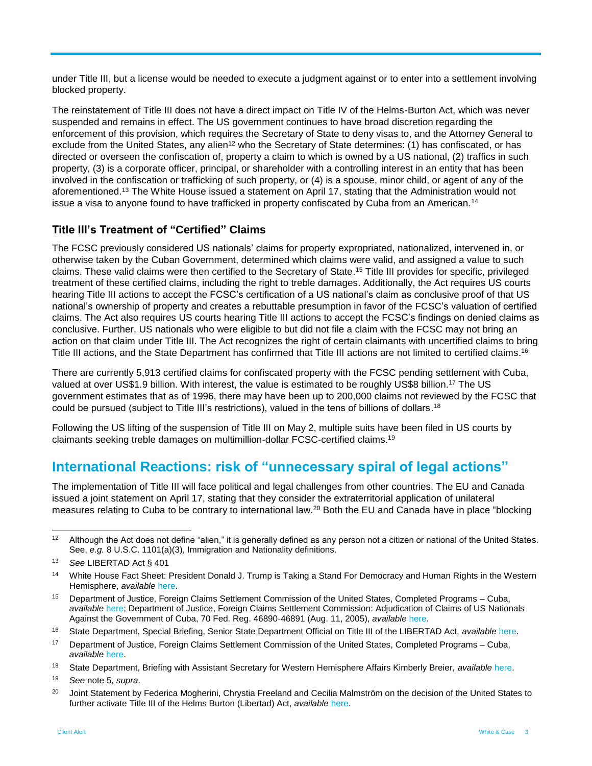under Title III, but a license would be needed to execute a judgment against or to enter into a settlement involving blocked property.

The reinstatement of Title III does not have a direct impact on Title IV of the Helms-Burton Act, which was never suspended and remains in effect. The US government continues to have broad discretion regarding the enforcement of this provision, which requires the Secretary of State to deny visas to, and the Attorney General to exclude from the United States, any alien<sup>12</sup> who the Secretary of State determines: (1) has confiscated, or has directed or overseen the confiscation of, property a claim to which is owned by a US national, (2) traffics in such property, (3) is a corporate officer, principal, or shareholder with a controlling interest in an entity that has been involved in the confiscation or trafficking of such property, or (4) is a spouse, minor child, or agent of any of the aforementioned.<sup>13</sup> The White House issued a statement on April 17, stating that the Administration would not issue a visa to anyone found to have trafficked in property confiscated by Cuba from an American.<sup>14</sup>

#### **Title III's Treatment of "Certified" Claims**

The FCSC previously considered US nationals' claims for property expropriated, nationalized, intervened in, or otherwise taken by the Cuban Government, determined which claims were valid, and assigned a value to such claims. These valid claims were then certified to the Secretary of State. <sup>15</sup> Title III provides for specific, privileged treatment of these certified claims, including the right to treble damages. Additionally, the Act requires US courts hearing Title III actions to accept the FCSC's certification of a US national's claim as conclusive proof of that US national's ownership of property and creates a rebuttable presumption in favor of the FCSC's valuation of certified claims. The Act also requires US courts hearing Title III actions to accept the FCSC's findings on denied claims as conclusive. Further, US nationals who were eligible to but did not file a claim with the FCSC may not bring an action on that claim under Title III. The Act recognizes the right of certain claimants with uncertified claims to bring Title III actions, and the State Department has confirmed that Title III actions are not limited to certified claims.<sup>16</sup>

There are currently 5,913 certified claims for confiscated property with the FCSC pending settlement with Cuba, valued at over US\$1.9 billion. With interest, the value is estimated to be roughly US\$8 billion.<sup>17</sup> The US government estimates that as of 1996, there may have been up to 200,000 claims not reviewed by the FCSC that could be pursued (subject to Title III's restrictions), valued in the tens of billions of dollars.<sup>18</sup>

Following the US lifting of the suspension of Title III on May 2, multiple suits have been filed in US courts by claimants seeking treble damages on multimillion-dollar FCSC-certified claims. 19

#### **International Reactions: risk of "unnecessary spiral of legal actions"**

The implementation of Title III will face political and legal challenges from other countries. The EU and Canada issued a joint statement on April 17, stating that they consider the extraterritorial application of unilateral measures relating to Cuba to be contrary to international law.<sup>20</sup> Both the EU and Canada have in place "blocking

l

 $12$  Although the Act does not define "alien," it is generally defined as any person not a citizen or national of the United States. See, *e.g.* 8 U.S.C. 1101(a)(3), Immigration and Nationality definitions.

<sup>13</sup> *See* LIBERTAD Act § 401

<sup>14</sup> White House Fact Sheet: President Donald J. Trump is Taking a Stand For Democracy and Human Rights in the Western Hemisphere, *available* [here.](https://www.whitehouse.gov/briefings-statements/president-donald-j-trump-taking-stand-democracy-human-rights-western-hemisphere/)

<sup>15</sup> Department of Justice, Foreign Claims Settlement Commission of the United States, Completed Programs – Cuba, *available* [here;](https://www.justice.gov/fcsc/claims-against-cuba) Department of Justice, Foreign Claims Settlement Commission: Adjudication of Claims of US Nationals Against the Government of Cuba, 70 Fed. Reg. 46890-46891 (Aug. 11, 2005), *available* [here.](https://www.govinfo.gov/content/pkg/FR-2005-08-11/pdf/05-15910.pdf)

<sup>16</sup> State Department, Special Briefing, Senior State Department Official on Title III of the LIBERTAD Act, *available* [here.](https://www.state.gov/r/pa/prs/ps/2019/03/289871.htm)

<sup>&</sup>lt;sup>17</sup> Department of Justice, Foreign Claims Settlement Commission of the United States, Completed Programs – Cuba, *available* [here.](https://www.justice.gov/fcsc/claims-against-cuba)

<sup>18</sup> State Department, Briefing with Assistant Secretary for Western Hemisphere Affairs Kimberly Breier, *available* [here.](https://www.state.gov/r/pa/prs/ps/2019/04/291176.htm)

<sup>19</sup> *See* note 5, *supra*.

<sup>&</sup>lt;sup>20</sup> Joint Statement by Federica Mogherini, Chrystia Freeland and Cecilia Malmström on the decision of the United States to further activate Title III of the Helms Burton (Libertad) Act, *available* [here.](https://eeas.europa.eu/headquarters/headquarters-homepage/61181/joint-statement-federica-mogherini-chrystia-freeland-and-cecilia-malmstr%C3%B6m-decision-united_en)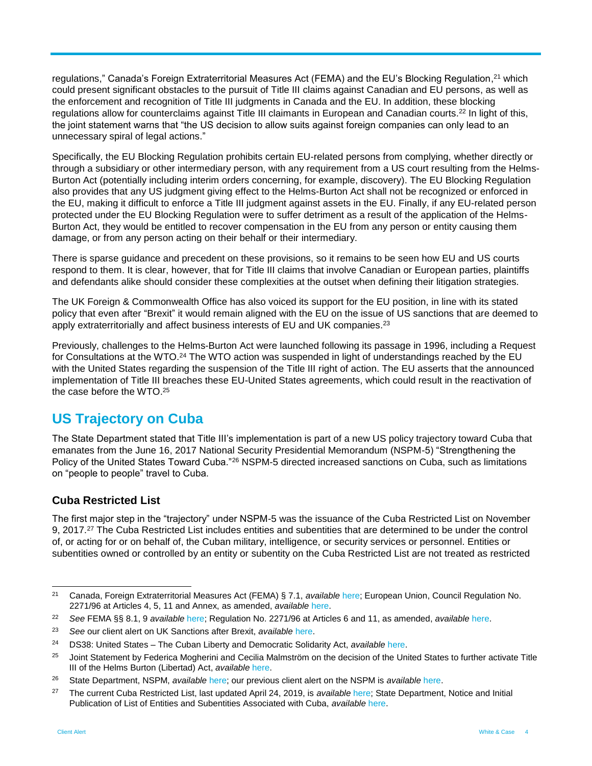regulations," Canada's Foreign Extraterritorial Measures Act (FEMA) and the EU's Blocking Regulation,<sup>21</sup> which could present significant obstacles to the pursuit of Title III claims against Canadian and EU persons, as well as the enforcement and recognition of Title III judgments in Canada and the EU. In addition, these blocking regulations allow for counterclaims against Title III claimants in European and Canadian courts.<sup>22</sup> In light of this, the joint statement warns that "the US decision to allow suits against foreign companies can only lead to an unnecessary spiral of legal actions."

Specifically, the EU Blocking Regulation prohibits certain EU-related persons from complying, whether directly or through a subsidiary or other intermediary person, with any requirement from a US court resulting from the Helms-Burton Act (potentially including interim orders concerning, for example, discovery). The EU Blocking Regulation also provides that any US judgment giving effect to the Helms-Burton Act shall not be recognized or enforced in the EU, making it difficult to enforce a Title III judgment against assets in the EU. Finally, if any EU-related person protected under the EU Blocking Regulation were to suffer detriment as a result of the application of the Helms-Burton Act, they would be entitled to recover compensation in the EU from any person or entity causing them damage, or from any person acting on their behalf or their intermediary.

There is sparse guidance and precedent on these provisions, so it remains to be seen how EU and US courts respond to them. It is clear, however, that for Title III claims that involve Canadian or European parties, plaintiffs and defendants alike should consider these complexities at the outset when defining their litigation strategies.

The UK Foreign & Commonwealth Office has also voiced its support for the EU position, in line with its stated policy that even after "Brexit" it would remain aligned with the EU on the issue of US sanctions that are deemed to apply extraterritorially and affect business interests of EU and UK companies.<sup>23</sup>

Previously, challenges to the Helms-Burton Act were launched following its passage in 1996, including a Request for Consultations at the WTO.<sup>24</sup> The WTO action was suspended in light of understandings reached by the EU with the United States regarding the suspension of the Title III right of action. The EU asserts that the announced implementation of Title III breaches these EU-United States agreements, which could result in the reactivation of the case before the WTO. 25

## **US Trajectory on Cuba**

The State Department stated that Title III's implementation is part of a new US policy trajectory toward Cuba that emanates from the June 16, 2017 National Security Presidential Memorandum (NSPM-5) "Strengthening the Policy of the United States Toward Cuba."<sup>26</sup> NSPM-5 directed increased sanctions on Cuba, such as limitations on "people to people" travel to Cuba.

#### **Cuba Restricted List**

The first major step in the "trajectory" under NSPM-5 was the issuance of the Cuba Restricted List on November 9, 2017.<sup>27</sup> The Cuba Restricted List includes entities and subentities that are determined to be under the control of, or acting for or on behalf of, the Cuban military, intelligence, or security services or personnel. Entities or subentities owned or controlled by an entity or subentity on the Cuba Restricted List are not treated as restricted

l <sup>21</sup> Canada, Foreign Extraterritorial Measures Act (FEMA) § 7.1, *available* [here;](https://laws-lois.justice.gc.ca/eng/acts/f-29/index.html) European Union, Council Regulation No. 2271/96 at Articles 4, 5, 11 and Annex, as amended, *available* [here.](https://eur-lex.europa.eu/legal-content/EN/TXT/?uri=CELEX:01996R2271-20180807)

<sup>22</sup> *See* FEMA §§ 8.1, 9 *available* [here;](https://laws-lois.justice.gc.ca/eng/acts/f-29/page-2.html#h-11) Regulation No. 2271/96 at Articles 6 and 11, as amended, *available* [here.](https://eur-lex.europa.eu/legal-content/EN/TXT/?uri=CELEX:01996R2271-20180807)

<sup>23</sup> *See* our client alert on UK Sanctions after Brexit, *available* [here.](https://www.whitecase.com/publications/alert/sanctions-after-brexit-first-uk-sanctions-regimes) 

<sup>24</sup> DS38: United States – The Cuban Liberty and Democratic Solidarity Act, *available* [here.](https://www.wto.org/english/tratop_e/dispu_e/cases_e/ds38_e.htm)

<sup>&</sup>lt;sup>25</sup> Joint Statement by Federica Mogherini and Cecilia Malmström on the decision of the United States to further activate Title III of the Helms Burton (Libertad) Act, *available* [here.](https://eeas.europa.eu/headquarters/headquarters-homepage/61183/joint-statement-federica-mogherini-and-cecilia-malmstr%C3%B6m-decision-united-states-further_en)

<sup>26</sup> State Department, NSPM, *available* [here;](https://www.federalregister.gov/documents/2017/10/20/2017-22928/strengthening-the-policy-of-the-united-states-toward-cuba) our previous client alert on the NSPM is *available* [here.](https://www.whitecase.com/publications/alert/united-states-announces-new-cuba-policy)

<sup>27</sup> The current Cuba Restricted List, last updated April 24, 2019, is *available* [here;](https://www.state.gov/e/eb/tfs/spi/cuba/cubarestrictedlist/291329.htm) State Department, Notice and Initial Publication of List of Entities and Subentities Associated with Cuba, *available* [here.](https://www.federalregister.gov/documents/2017/11/09/2017-24449/the-state-departments-list-of-entities-and-subentities-associated-with-cuba-cuba-restricted-list)